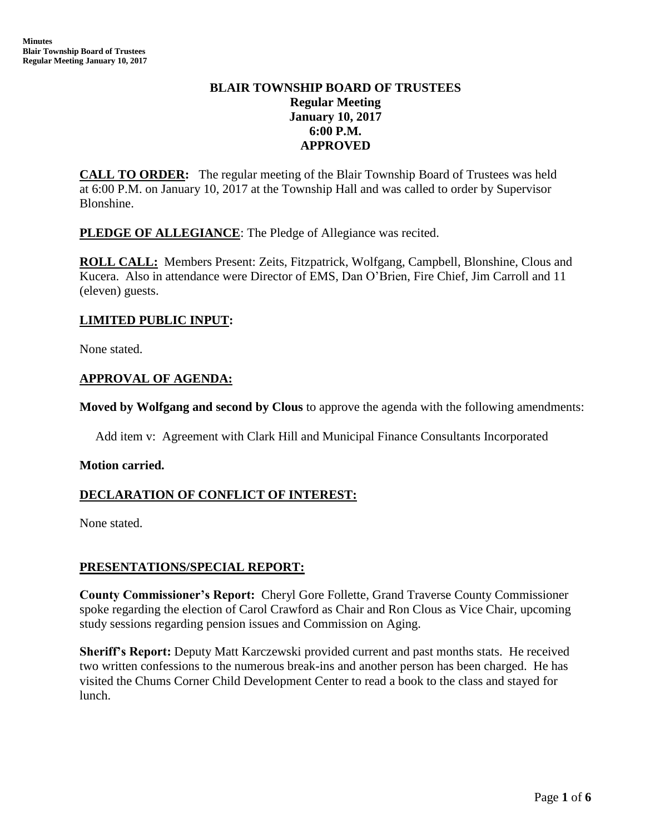# **BLAIR TOWNSHIP BOARD OF TRUSTEES Regular Meeting January 10, 2017 6:00 P.M. APPROVED**

**CALL TO ORDER:** The regular meeting of the Blair Township Board of Trustees was held at 6:00 P.M. on January 10, 2017 at the Township Hall and was called to order by Supervisor Blonshine.

**PLEDGE OF ALLEGIANCE:** The Pledge of Allegiance was recited.

**ROLL CALL:** Members Present: Zeits, Fitzpatrick, Wolfgang, Campbell, Blonshine, Clous and Kucera. Also in attendance were Director of EMS, Dan O'Brien, Fire Chief, Jim Carroll and 11 (eleven) guests.

### **LIMITED PUBLIC INPUT:**

None stated.

## **APPROVAL OF AGENDA:**

**Moved by Wolfgang and second by Clous** to approve the agenda with the following amendments:

Add item v: Agreement with Clark Hill and Municipal Finance Consultants Incorporated

### **Motion carried.**

# **DECLARATION OF CONFLICT OF INTEREST:**

None stated.

### **PRESENTATIONS/SPECIAL REPORT:**

**County Commissioner's Report:** Cheryl Gore Follette, Grand Traverse County Commissioner spoke regarding the election of Carol Crawford as Chair and Ron Clous as Vice Chair, upcoming study sessions regarding pension issues and Commission on Aging.

**Sheriff's Report:** Deputy Matt Karczewski provided current and past months stats. He received two written confessions to the numerous break-ins and another person has been charged. He has visited the Chums Corner Child Development Center to read a book to the class and stayed for lunch.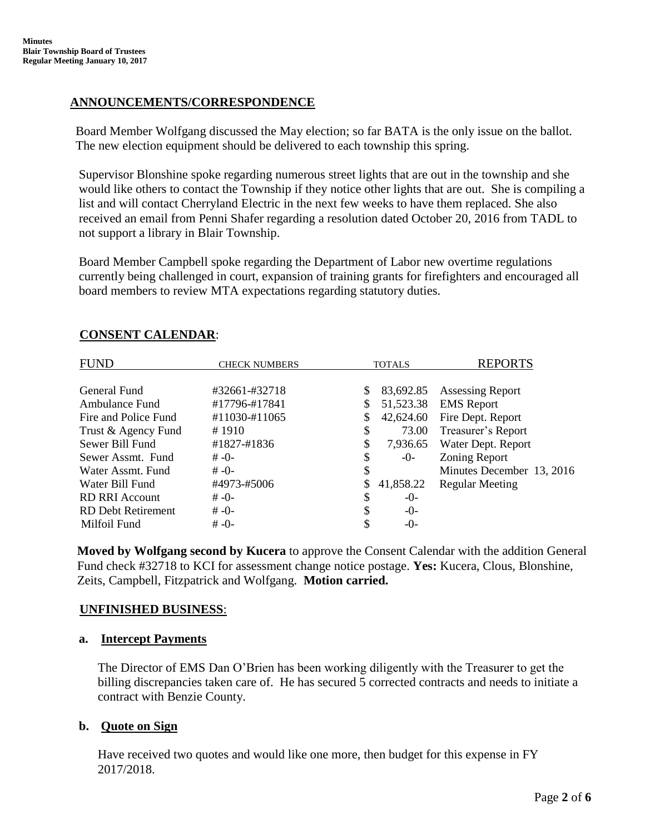## **ANNOUNCEMENTS/CORRESPONDENCE**

Board Member Wolfgang discussed the May election; so far BATA is the only issue on the ballot. The new election equipment should be delivered to each township this spring.

Supervisor Blonshine spoke regarding numerous street lights that are out in the township and she would like others to contact the Township if they notice other lights that are out. She is compiling a list and will contact Cherryland Electric in the next few weeks to have them replaced. She also received an email from Penni Shafer regarding a resolution dated October 20, 2016 from TADL to not support a library in Blair Township.

Board Member Campbell spoke regarding the Department of Labor new overtime regulations currently being challenged in court, expansion of training grants for firefighters and encouraged all board members to review MTA expectations regarding statutory duties.

| FUND                      | <b>CHECK NUMBERS</b> | <b>TOTALS</b> |                        | <b>REPORTS</b>                               |
|---------------------------|----------------------|---------------|------------------------|----------------------------------------------|
| General Fund              | #32661-#32718        |               |                        |                                              |
| Ambulance Fund            | #17796-#17841        | \$<br>\$      | 83,692.85<br>51,523.38 | <b>Assessing Report</b><br><b>EMS</b> Report |
| Fire and Police Fund      | #11030-#11065        | \$            | 42,624.60              | Fire Dept. Report                            |
| Trust & Agency Fund       | #1910                | \$            | 73.00                  | Treasurer's Report                           |
| Sewer Bill Fund           | #1827-#1836          | \$            | 7,936.65               | Water Dept. Report                           |
| Sewer Assmt. Fund         | $# -0-$              | \$            | $-0-$                  | <b>Zoning Report</b>                         |
| Water Assmt, Fund         | $# -0-$              | \$            |                        | Minutes December 13, 2016                    |
| Water Bill Fund           | #4973-#5006          |               | 41,858.22              | <b>Regular Meeting</b>                       |
| <b>RD RRI Account</b>     | $# -0-$              | \$            | $-()$                  |                                              |
| <b>RD</b> Debt Retirement | $# -0-$              | \$            | $-0-$                  |                                              |
| Milfoil Fund              | $# -() -$            | \$            | -0-                    |                                              |

## **CONSENT CALENDAR**:

**Moved by Wolfgang second by Kucera** to approve the Consent Calendar with the addition General Fund check #32718 to KCI for assessment change notice postage. **Yes:** Kucera, Clous, Blonshine, Zeits, Campbell, Fitzpatrick and Wolfgang. **Motion carried.**

### **UNFINISHED BUSINESS**:

### **a. Intercept Payments**

The Director of EMS Dan O'Brien has been working diligently with the Treasurer to get the billing discrepancies taken care of. He has secured 5 corrected contracts and needs to initiate a contract with Benzie County.

### **b. Quote on Sign**

Have received two quotes and would like one more, then budget for this expense in FY 2017/2018.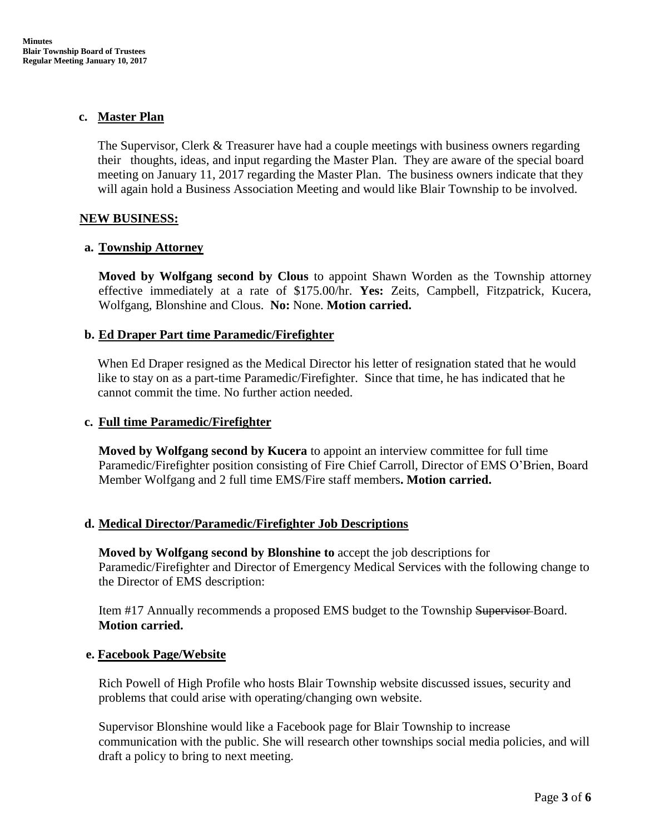### **c. Master Plan**

The Supervisor, Clerk & Treasurer have had a couple meetings with business owners regarding their thoughts, ideas, and input regarding the Master Plan. They are aware of the special board meeting on January 11, 2017 regarding the Master Plan. The business owners indicate that they will again hold a Business Association Meeting and would like Blair Township to be involved.

### **NEW BUSINESS:**

## **a. Township Attorney**

**Moved by Wolfgang second by Clous** to appoint Shawn Worden as the Township attorney effective immediately at a rate of \$175.00/hr. **Yes:** Zeits, Campbell, Fitzpatrick, Kucera, Wolfgang, Blonshine and Clous. **No:** None. **Motion carried.**

## **b. Ed Draper Part time Paramedic/Firefighter**

When Ed Draper resigned as the Medical Director his letter of resignation stated that he would like to stay on as a part-time Paramedic/Firefighter. Since that time, he has indicated that he cannot commit the time. No further action needed.

## **c. Full time Paramedic/Firefighter**

**Moved by Wolfgang second by Kucera** to appoint an interview committee for full time Paramedic/Firefighter position consisting of Fire Chief Carroll, Director of EMS O'Brien, Board Member Wolfgang and 2 full time EMS/Fire staff members**. Motion carried.**

### **d. Medical Director/Paramedic/Firefighter Job Descriptions**

**Moved by Wolfgang second by Blonshine to** accept the job descriptions for Paramedic/Firefighter and Director of Emergency Medical Services with the following change to the Director of EMS description:

Item #17 Annually recommends a proposed EMS budget to the Township Supervisor Board. **Motion carried.**

### **e. Facebook Page/Website**

Rich Powell of High Profile who hosts Blair Township website discussed issues, security and problems that could arise with operating/changing own website.

Supervisor Blonshine would like a Facebook page for Blair Township to increase communication with the public. She will research other townships social media policies, and will draft a policy to bring to next meeting.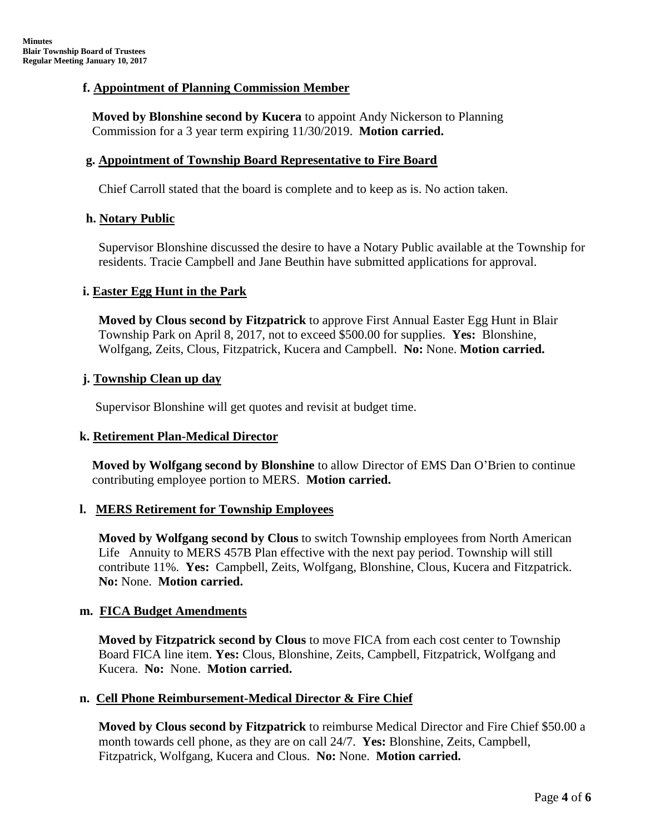## **f. Appointment of Planning Commission Member**

 **Moved by Blonshine second by Kucera** to appoint Andy Nickerson to Planning Commission for a 3 year term expiring 11/30/2019. **Motion carried.**

#### **g. Appointment of Township Board Representative to Fire Board**

Chief Carroll stated that the board is complete and to keep as is. No action taken.

#### **h. Notary Public**

Supervisor Blonshine discussed the desire to have a Notary Public available at the Township for residents. Tracie Campbell and Jane Beuthin have submitted applications for approval.

#### **i. Easter Egg Hunt in the Park**

**Moved by Clous second by Fitzpatrick** to approve First Annual Easter Egg Hunt in Blair Township Park on April 8, 2017, not to exceed \$500.00 for supplies. **Yes:** Blonshine, Wolfgang, Zeits, Clous, Fitzpatrick, Kucera and Campbell. **No:** None. **Motion carried.**

#### **j. Township Clean up day**

Supervisor Blonshine will get quotes and revisit at budget time.

### **k. Retirement Plan-Medical Director**

 **Moved by Wolfgang second by Blonshine** to allow Director of EMS Dan O'Brien to continue contributing employee portion to MERS. **Motion carried.**

### **l. MERS Retirement for Township Employees**

**Moved by Wolfgang second by Clous** to switch Township employees from North American Life Annuity to MERS 457B Plan effective with the next pay period. Township will still contribute 11%. **Yes:** Campbell, Zeits, Wolfgang, Blonshine, Clous, Kucera and Fitzpatrick. **No:** None. **Motion carried.**

### **m. FICA Budget Amendments**

**Moved by Fitzpatrick second by Clous** to move FICA from each cost center to Township Board FICA line item. **Yes:** Clous, Blonshine, Zeits, Campbell, Fitzpatrick, Wolfgang and Kucera. **No:** None. **Motion carried.**

### **n. Cell Phone Reimbursement-Medical Director & Fire Chief**

**Moved by Clous second by Fitzpatrick** to reimburse Medical Director and Fire Chief \$50.00 a month towards cell phone, as they are on call 24/7. **Yes:** Blonshine, Zeits, Campbell, Fitzpatrick, Wolfgang, Kucera and Clous. **No:** None. **Motion carried.**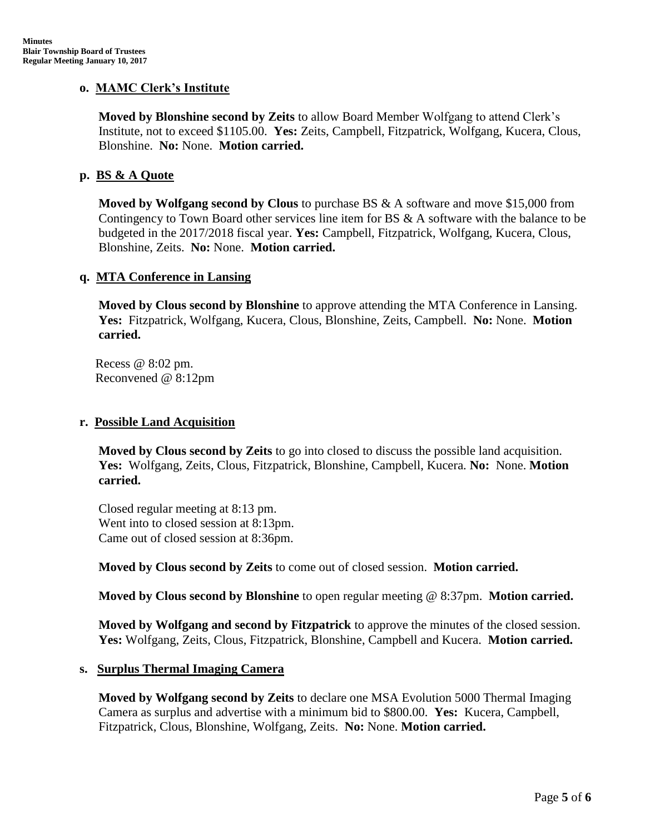### **o. MAMC Clerk's Institute**

**Moved by Blonshine second by Zeits** to allow Board Member Wolfgang to attend Clerk's Institute, not to exceed \$1105.00. **Yes:** Zeits, Campbell, Fitzpatrick, Wolfgang, Kucera, Clous, Blonshine. **No:** None. **Motion carried.**

### **p. BS & A Quote**

**Moved by Wolfgang second by Clous** to purchase BS & A software and move \$15,000 from Contingency to Town Board other services line item for BS & A software with the balance to be budgeted in the 2017/2018 fiscal year. **Yes:** Campbell, Fitzpatrick, Wolfgang, Kucera, Clous, Blonshine, Zeits. **No:** None. **Motion carried.**

#### **q. MTA Conference in Lansing**

**Moved by Clous second by Blonshine** to approve attending the MTA Conference in Lansing. **Yes:** Fitzpatrick, Wolfgang, Kucera, Clous, Blonshine, Zeits, Campbell. **No:** None. **Motion carried.**

 Recess @ 8:02 pm. Reconvened @ 8:12pm

#### **r. Possible Land Acquisition**

**Moved by Clous second by Zeits** to go into closed to discuss the possible land acquisition. **Yes:** Wolfgang, Zeits, Clous, Fitzpatrick, Blonshine, Campbell, Kucera. **No:** None. **Motion carried.**

 Closed regular meeting at 8:13 pm. Went into to closed session at 8:13pm. Came out of closed session at 8:36pm.

**Moved by Clous second by Zeits** to come out of closed session. **Motion carried.**

**Moved by Clous second by Blonshine** to open regular meeting @ 8:37pm. **Motion carried.**

**Moved by Wolfgang and second by Fitzpatrick** to approve the minutes of the closed session. **Yes:** Wolfgang, Zeits, Clous, Fitzpatrick, Blonshine, Campbell and Kucera. **Motion carried.**

#### **s. Surplus Thermal Imaging Camera**

**Moved by Wolfgang second by Zeits** to declare one MSA Evolution 5000 Thermal Imaging Camera as surplus and advertise with a minimum bid to \$800.00. **Yes:** Kucera, Campbell, Fitzpatrick, Clous, Blonshine, Wolfgang, Zeits. **No:** None. **Motion carried.**